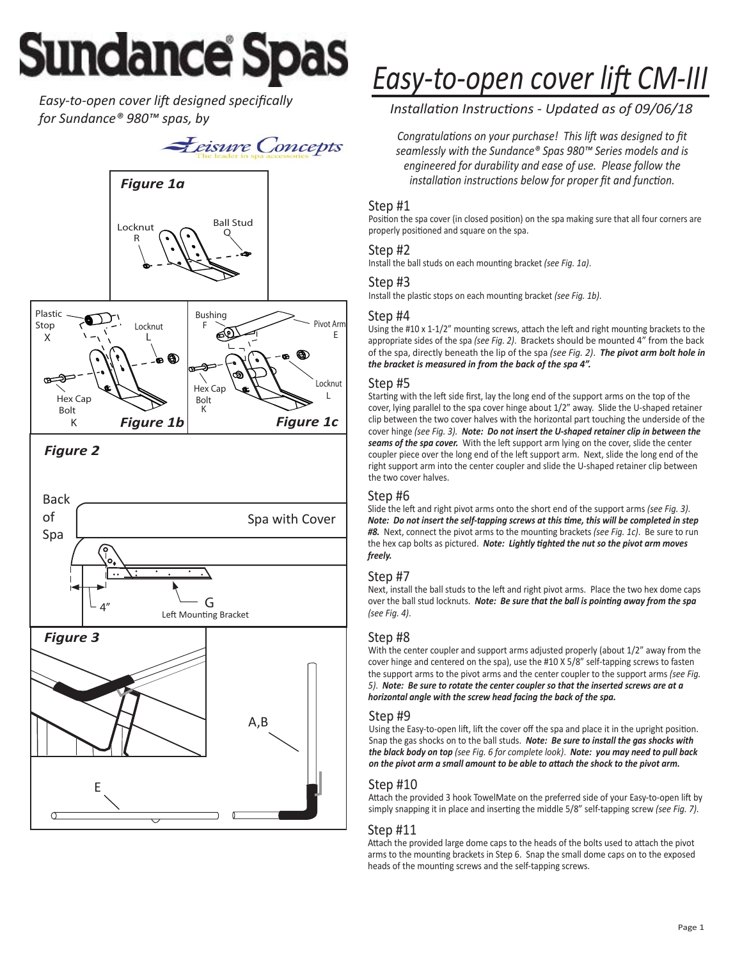# **Sundance Spas**

**Easy-to-open cover lift designed specifically** *for Sundance® 980™ spas, by*



*Figure 2*



# **Easy-to-open cover lift CM-III**

*InstallaƟon InstrucƟons - Updated as of 09/06/18* 

*Congratulations on your purchase! This lift was designed to fit seamlessly with the Sundance® Spas 980™ Series models and is engineered for durability and ease of use. Please follow the installation instructions below for proper fit and function.* 

#### Step #1

Position the spa cover (in closed position) on the spa making sure that all four corners are properly positioned and square on the spa.

#### Step #2

Install the ball studs on each mounting bracket *(see Fig. 1a)*.

#### Step #3

Install the plastic stops on each mounting bracket *(see Fig. 1b)*.

#### Step #4

Using the #10 x 1-1/2" mounting screws, attach the left and right mounting brackets to the appropriate sides of the spa *(see Fig. 2)*. Brackets should be mounted 4" from the back of the spa, directly beneath the lip of the spa *(see Fig. 2)*. *The pivot arm bolt hole in the bracket is measured in from the back of the spa 4".*

#### Step #5

Starting with the left side first, lay the long end of the support arms on the top of the cover, lying parallel to the spa cover hinge about 1/2" away. Slide the U-shaped retainer clip between the two cover halves with the horizontal part touching the underside of the cover hinge *(see Fig. 3). Note: Do not insert the U-shaped retainer clip in between the*  seams of the spa cover. With the left support arm lying on the cover, slide the center coupler piece over the long end of the left support arm. Next, slide the long end of the right support arm into the center coupler and slide the U-shaped retainer clip between the two cover halves.

#### Step #6

Slide the left and right pivot arms onto the short end of the support arms *(see Fig. 3)*. *Note: Do not insert the self-tapping screws at this time, this will be completed in step* #8. Next, connect the pivot arms to the mounting brackets *(see Fig. 1c)*. Be sure to run the hex cap bolts as pictured. *Note: Lightly tighted the nut so the pivot arm moves freely.*

#### Step #7

Next, install the ball studs to the left and right pivot arms. Place the two hex dome caps over the ball stud locknuts. *Note: Be sure that the ball is pointing away from the spa (see Fig. 4)*.

#### Step #8

With the center coupler and support arms adjusted properly (about 1/2" away from the cover hinge and centered on the spa), use the #10 X 5/8" self-tapping screws to fasten the support arms to the pivot arms and the center coupler to the support arms *(see Fig. 5)*. *Note: Be sure to rotate the center coupler so that the inserted screws are at a horizontal angle with the screw head facing the back of the spa.*

#### Step #9

Using the Easy-to-open lift, lift the cover off the spa and place it in the upright position. Snap the gas shocks on to the ball studs. *Note: Be sure to install the gas shocks with the black body on top (see Fig. 6 for complete look)*. *Note: you may need to pull back on the pivot arm a small amount to be able to attach the shock to the pivot arm.* 

#### Step #10

Attach the provided 3 hook TowelMate on the preferred side of your Easy-to-open lift by simply snapping it in place and inserting the middle 5/8" self-tapping screw *(see Fig. 7)*.

#### Step #11

Attach the provided large dome caps to the heads of the bolts used to attach the pivot arms to the mounting brackets in Step 6. Snap the small dome caps on to the exposed heads of the mounting screws and the self-tapping screws.